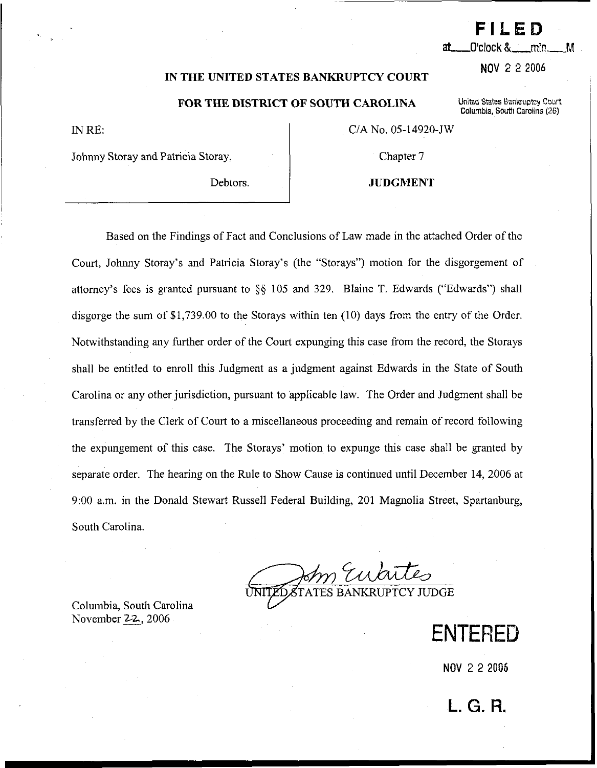#### **IN THE UNITED STATES BANKRUPTCY COURT**

#### **FOR THE DISTRICT OF SOUTH CAROLINA** United States Bankruptcy Court

IN RE:

CIA No. 05-14920-JW

Johnny Storay and Patricia Storay,

Debtors.

**JUDGMENT** 

Chapter 7

Based on the Findings of Fact and Conclusions of Law made in the attached Order of the Court, Johnny Storay's and Patricia Storay's (the "Storays") motion for the disgorgement of attorney's fees is granted pursuant to *\$5* 105 and 329. Blaine T. Edwards ("Edwards") shall disgorge the sum of \$1,739.00 to the Storays within ten (10) days from the entry of the Order. Notwithstanding any finther order of the Court expunging this case from the record, the Storays shall be entitled to enroll this Judgment as a judgment against Edwards in the State of South Carolina or any other jurisdiction, pursuant to applicable law. The Order and Judgment shall be transferred by the Clerk of Court to a miscellaneous proceeding and remain of record following the expungement of this case. The Storays' motion to expunge this case shall be granted by separate order. The hearing on the Rule to Show Cause is continued until December 14,2006 at 9:00 a.m. in the Donald Stewart Russell Federal Building, 201 Magnolia Street, Spartanburg, South Carolina. - TATES BANKRUPTCY JUDGE

Columbia, South Carolina November 22,2006

**NOV** 2 2 2006

**NOV** 2 **2** 2006

**FILED** 

at\_\_\_\_O'clock &min.

**Columbia, South Carolina (26)**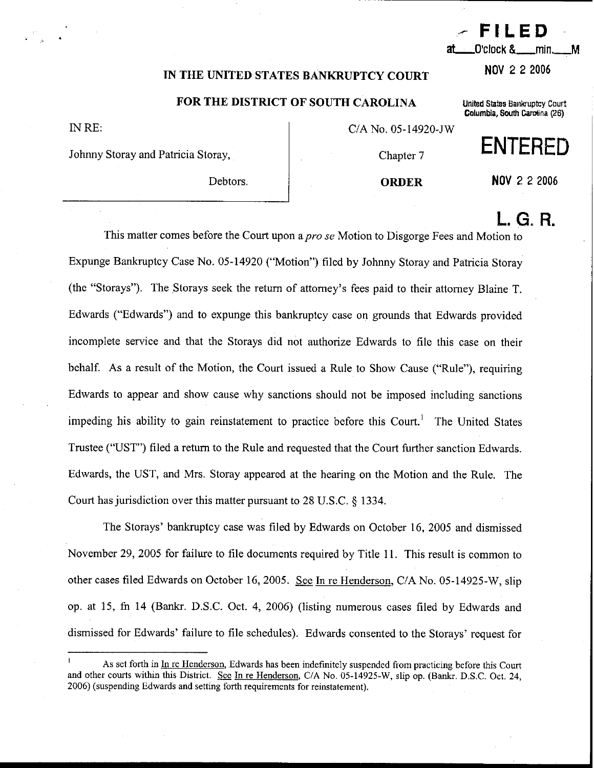## **IN THE UNITED STATES BANKRUPTCY COURT NOV 2 2 2006**

### **FOR THE DISTRICT OF SOUTH CAROLINA United States Baniouptcy** Court

IN RE:

Johnny Storay and Patricia Storay, and Chapter 7

C/A No. 05-14920-JW

Debtors. 1 **ORDER NOV** 2 **2 2006** 

# L. G. R.

This matter comes before the Court upon a pro se Motion to Disgorge Fees and Motion to Expunge Bankruptcy Case No. 05-14920 ("Motion") filed by Johnny Storay and Patricia Storay (the "Storays"). The Storays seek the return of attorney's fees paid to their attorney Blaine T. Edwards ("Edwards") and to expunge this bankruptcy case on grounds that Edwards provided incomplete service and that the Storays did not authorize Edwards to file this case on their behalf. As a result of the Motion, the Court issued a Rule to Show Cause ("Rule"), requiring Edwards to appear and show cause why sanctions should not be imposed including sanctions impeding his ability to gain reinstatement to practice before this Court.<sup>1</sup> The United States Trustee ("UST") filed a return to the Rule and requested that the Court further sanction Edwards. Edwards, the UST, and Mrs. Storay appeared at the hearing on the Motion and the Rule. The Court has jurisdiction over this matter pursuant to 28 U.S.C. § 1334.

The Storays' bankruptcy case was filed by Edwards on October 16, 2005 and dismissed November 29, 2005 for failure to file documents required by Title 11. This result is common to other cases filed Edwards on October 16, 2005. See In re Henderson, C/A No. 05-14925-W, slip op. at 15, fn 14 (Bankr. D.S.C. Oct. 4, 2006) (listing numerous cases filed by Edwards and dismissed for Edwards' failure to file schedules). Edwards consented to the Storays' request for

min.

М

**Columbia,** Swth **Camlina (26)** 

- **FILED** 

As set forth in In re Henderson, Edwards has been indefinitely suspended from practicing before this Court and other courts within this District. See In re Henderson, C/A No. 05-14925-W, slip op. (Bankr. D.S.C. Oct. 24, 2006) (suspending Edwards and setting forth requirements for reinstatement).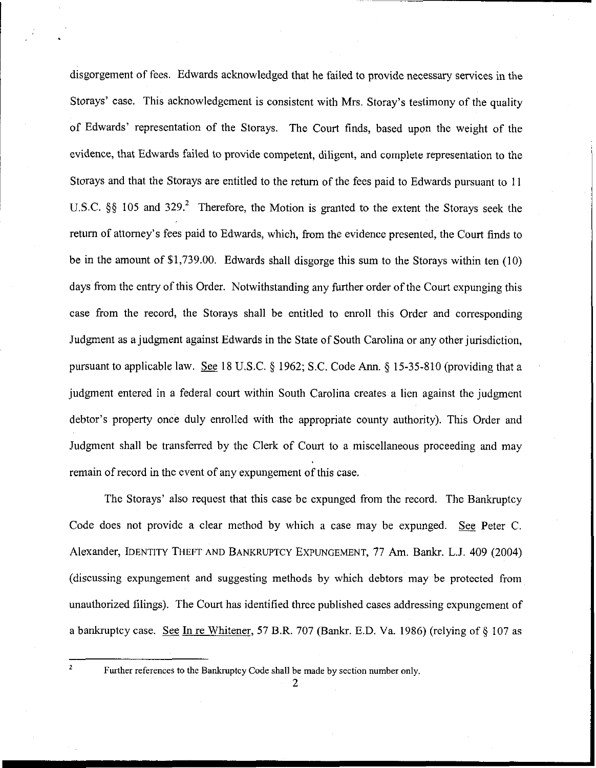disgorgement of fees. Edwards acknowledged that he failed to provide necessary services in the Storays' case. This acknowledgement is consistent with Mrs. Storay's testimony of the quality of Edwards' representation of the Storays. The Court finds, based upon the weight of the evidence, that Edwards failed to provide competent, diligent, and complete representation to the Storays and that the Storays are entitled to the return of the fees paid to Edwards pursuant to 11 U.S.C. §§ 105 and 329<sup>2</sup>. Therefore, the Motion is granted to the extent the Storays seek the return of attorney's fees paid to Edwards, which, from the evidence presented, the Court finds to be in the amount of \$1,739.00. Edwards shall disgorge this sum to the Storays within ten (10) days from the entry of this Order. Notwithstanding any further order of the Court expunging this case from the record, the Storays shall be entitled to enroll this Order and corresponding Judgment as a judgment against Edwards in the State of South Carolina or any other jurisdiction, pursuant to applicable law. **See** 18 U.S.C. *5* 1962; S.C. Code Ann. \$ 15-35-810 (providing that a judgment entered in a federal court within South Carolina creates a lien against the judgment debtor's property once duly enrolled with the appropriate county authority). This Order and Judgment shall be transferred by the Clerk of Court to a miscellaneous proceeding and may remain of record in the event of any expungement of this case.

The Storays' also request that this case be expunged from the record. The Bankruptcy Code does not provide a clear method by which a case may be expunged. See Peter C. Alexander, IDENTITY THEFT AND BANKRUPTCY EXPUNGEMENT, 77 **Am.** Bankr. L.J. 409 (2004) (discussing expungement and suggesting methods by which debtors may be protected from unauthorized filings). The Court has identified three published cases addressing expungement of a bankruptcy case. See In re Whitener, 57 B.R. 707 (Bankr. E.D. Va. 1986) (relying of  $\S$  107 as

2

**<sup>2</sup>**Further references to the Bankruptcy Code shall be made by section number only.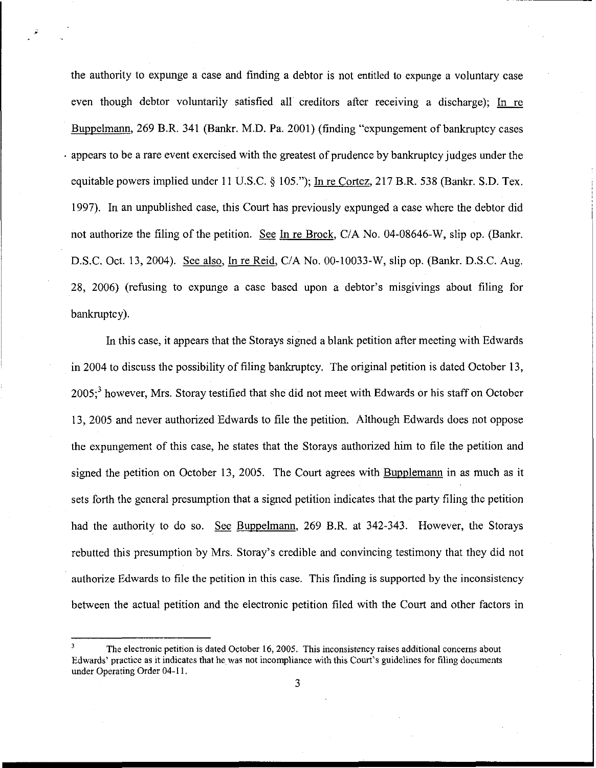the authority to expunge a case and finding a debtor is not entltled to expunge a voluntary case even though debtor voluntarily satisfied all creditors after receiving a discharge); Buppelmann, 269 B.R. 341 (Bankr. M.D. Pa. 2001) (finding "expungement of bankruptcy cases . appears to be a rare event exercised with the greatest of prudence by bankruptcy judges under the equitable powers implied under 11 U.S.C. **9** 105."); In re Cortez, 217 B.R. 538 (Bankr. S.D. Tex. 1997). In an unpublished case, this Court has previously expunged a case where the debtor did not authorize the filing of the petition. **See** In re Brock, CIA No. 04-08646-W, slip op. (Bankr. D.S.C. Oct. 13, 2004). See also, In re Reid, C/A No. 00-10033-W, slip op. (Bankr. D.S.C. Aug. 28, 2006) (refusing to expunge a case based upon a debtor's misgivings about filing for bankruptcy).

In this case, it appears that the Storays signed a blank petition after meeting with Edwards in 2004 to discuss the possibility of filing bankruptcy. The original petition is dated October 13,  $2005$ ;<sup>3</sup> however, Mrs. Storay testified that she did not meet with Edwards or his staff on October 13, 2005 and never authorized Edwards to file the petition. Although Edwards does not oppose the expungement of this case, he states that the Storays authorized him to file the petition and signed the petition on October 13, 2005. The Court agrees with **Bupplemann** in as much as it sets forth the general presumption that a signed petition indicates that the party filing the petition had the authority to do so. **See** Buppelmann, 269 B.R. at 342-343. However, the Storays rebutted this presumption by Mrs. Storay's credible and convincing testimony that they did not authorize Edwards to file the petition in this case. This finding is supported by the inconsistency between the actual petition and the electronic petition filed with the Court and other factors in

**<sup>3</sup>**The electronic petition is dated October 16, 2005. This inconsistency raises additional concerns about Edwards' practice as it indicates that he was not incompliance with this Court's guidelines for filing documents under Operating Order 04-1 1.